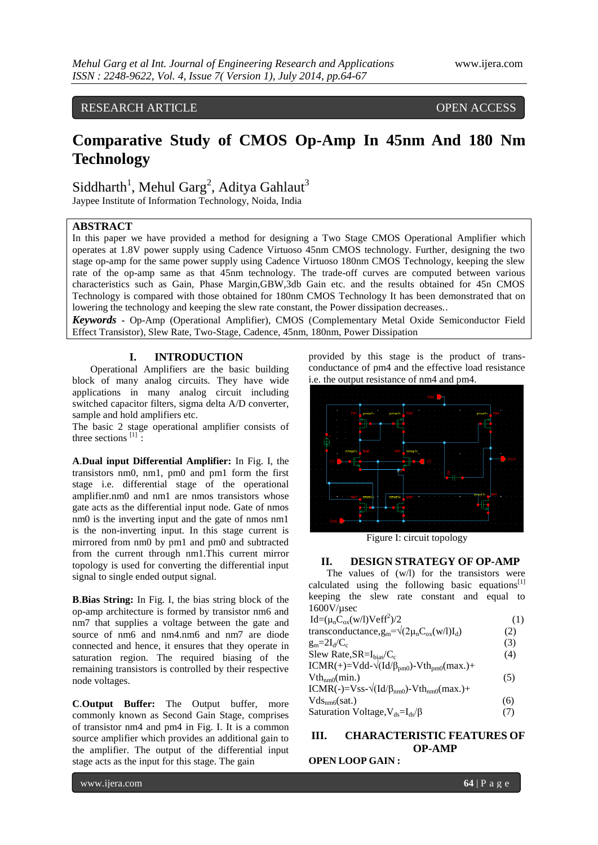## RESEARCH ARTICLE OPEN ACCESS

# **Comparative Study of CMOS Op-Amp In 45nm And 180 Nm Technology**

# Siddharth<sup>1</sup>, Mehul Garg<sup>2</sup>, Aditya Gahlaut<sup>3</sup>

Jaypee Institute of Information Technology, Noida, India

## **ABSTRACT**

In this paper we have provided a method for designing a Two Stage CMOS Operational Amplifier which operates at 1.8V power supply using Cadence Virtuoso 45nm CMOS technology. Further, designing the two stage op-amp for the same power supply using Cadence Virtuoso 180nm CMOS Technology, keeping the slew rate of the op-amp same as that 45nm technology. The trade-off curves are computed between various characteristics such as Gain, Phase Margin,GBW,3db Gain etc. and the results obtained for 45n CMOS Technology is compared with those obtained for 180nm CMOS Technology It has been demonstrated that on lowering the technology and keeping the slew rate constant, the Power dissipation decreases..

*Keywords* **-** Op-Amp (Operational Amplifier), CMOS (Complementary Metal Oxide Semiconductor Field Effect Transistor), Slew Rate, Two-Stage, Cadence, 45nm, 180nm, Power Dissipation

### **I. INTRODUCTION**

Operational Amplifiers are the basic building block of many analog circuits. They have wide applications in many analog circuit including switched capacitor filters, sigma delta A/D converter, sample and hold amplifiers etc.

The basic 2 stage operational amplifier consists of three sections  $[1]$ :

**A**.**Dual input Differential Amplifier:** In Fig. I, the transistors nm0, nm1, pm0 and pm1 form the first stage i.e. differential stage of the operational amplifier.nm0 and nm1 are nmos transistors whose gate acts as the differential input node. Gate of nmos nm0 is the inverting input and the gate of nmos nm1 is the non-inverting input. In this stage current is mirrored from nm0 by pm1 and pm0 and subtracted from the current through nm1.This current mirror topology is used for converting the differential input signal to single ended output signal.

**B**.**Bias String:** In Fig. I, the bias string block of the op-amp architecture is formed by transistor nm6 and nm7 that supplies a voltage between the gate and source of nm6 and nm4.nm6 and nm7 are diode connected and hence, it ensures that they operate in saturation region. The required biasing of the remaining transistors is controlled by their respective node voltages.

**C**.**Output Buffer:** The Output buffer, more commonly known as Second Gain Stage, comprises of transistor nm4 and pm4 in Fig. I. It is a common source amplifier which provides an additional gain to the amplifier. The output of the differential input stage acts as the input for this stage. The gain

provided by this stage is the product of transconductance of pm4 and the effective load resistance i.e. the output resistance of nm4 and pm4.



Figure I: circuit topology

#### **II. DESIGN STRATEGY OF OP-AMP**

The values of (w/l) for the transistors were calculated using the following basic equations<sup>[1]</sup> keeping the slew rate constant and equal to 1600V/µsec

| $Id=(\mupCox(w/l)Veff2)/2$                                               | (1) |
|--------------------------------------------------------------------------|-----|
| transconductance, $g_m = \sqrt{(2\mu_n C_{ox}(w/1)I_d)}$                 | (2) |
| $g_m = 2I_d/C_c$                                                         | (3) |
| Slew Rate, $SR = I_{bias}/C_c$                                           | (4) |
| $ICMR(+) = Vdd - \sqrt{(Id/\beta_{pm0}) - Vth_{pm0}(max.)} +$            |     |
| $Vth_{nm0}(min.)$                                                        | (5) |
| ICMR(-)=Vss- $\sqrt{\frac{Id}{\beta_{nm0}}}$ -Vth <sub>nm0</sub> (max.)+ |     |
| $Vds_{nm6}(sat.)$                                                        | (6) |
| Saturation Voltage, $V_{ds} = I_{ds}/\beta$                              | (7) |

## **III. CHARACTERISTIC FEATURES OF OP-AMP**

## **OPEN LOOP GAIN :**

www.ijera.com **64** | P a g e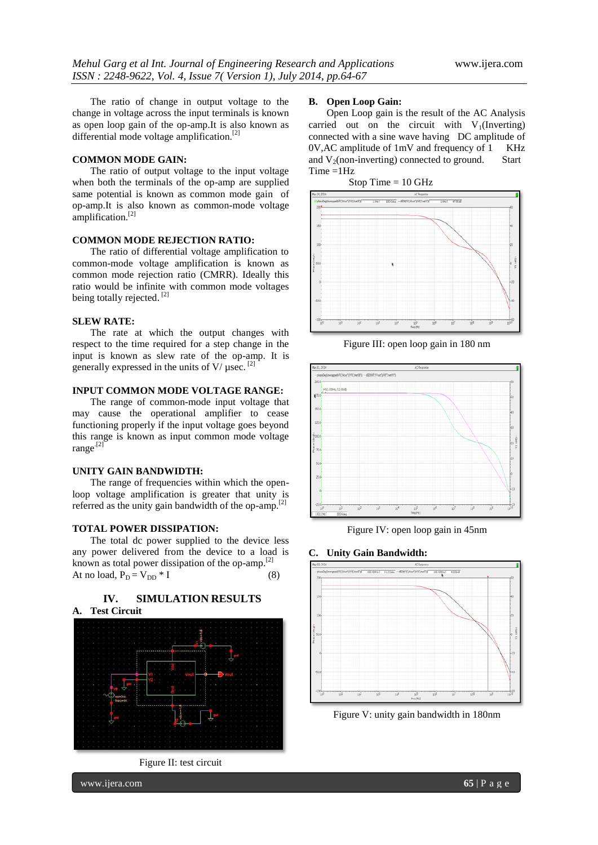The ratio of change in output voltage to the change in voltage across the input terminals is known as open loop gain of the op-amp.It is also known as differential mode voltage amplification.<sup>[2]</sup>

#### **COMMON MODE GAIN:**

The ratio of output voltage to the input voltage when both the terminals of the op-amp are supplied same potential is known as common mode gain of op-amp.It is also known as common-mode voltage amplification.<sup>[2]</sup>

#### **COMMON MODE REJECTION RATIO:**

The ratio of differential voltage amplification to common-mode voltage amplification is known as common mode rejection ratio (CMRR). Ideally this ratio would be infinite with common mode voltages being totally rejected.<sup>[2]</sup>

#### **SLEW RATE:**

The rate at which the output changes with respect to the time required for a step change in the input is known as slew rate of the op-amp. It is generally expressed in the units of  $V/\mu$ sec.<sup>[2]</sup>

### **INPUT COMMON MODE VOLTAGE RANGE:**

The range of common-mode input voltage that may cause the operational amplifier to cease functioning properly if the input voltage goes beyond this range is known as input common mode voltage range.[2]

### **UNITY GAIN BANDWIDTH:**

The range of frequencies within which the openloop voltage amplification is greater that unity is referred as the unity gain bandwidth of the op-amp.<sup>[2]</sup>

#### **TOTAL POWER DISSIPATION:**

The total dc power supplied to the device less any power delivered from the device to a load is known as total power dissipation of the op-amp.<sup>[2]</sup> At no load,  $P_D = V_{DD} * I$  (8)



Figure II: test circuit

#### **B. Open Loop Gain:**

Open Loop gain is the result of the AC Analysis carried out on the circuit with  $V_1$ (Inverting) connected with a sine wave having DC amplitude of 0V,AC amplitude of 1mV and frequency of 1 KHz and  $V_2$ (non-inverting) connected to ground. Start Time =1Hz

Stop Time  $= 10$  GHz



Figure III: open loop gain in 180 nm



Figure IV: open loop gain in 45nm

#### **C. Unity Gain Bandwidth:**



Figure V: unity gain bandwidth in 180nm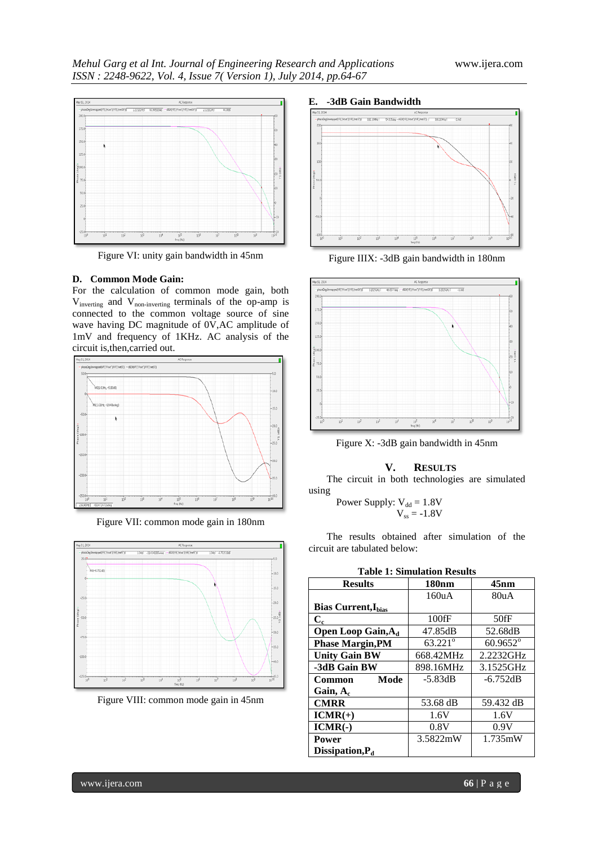

Figure VI: unity gain bandwidth in 45nm

#### **D. Common Mode Gain:**

For the calculation of common mode gain, both Vinverting and Vnon-inverting terminals of the op-amp is connected to the common voltage source of sine wave having DC magnitude of  $0\text{V}$ , AC amplitude of 1mV and frequency of 1KHz. AC analysis of the circuit is,then,carried out.



Figure VII: common mode gain in 180nm



Figure VIII: common mode gain in 45nm



Figure IIIX: -3dB gain bandwidth in 180nm



Figure X: -3dB gain bandwidth in 45nm

## **V. RESULTS**

The circuit in both technologies are simulated using

Power Supply: 
$$
V_{dd} = 1.8V
$$
  
 $V_{ss} = -1.8V$ 

The results obtained after simulation of the circuit are tabulated below:

| тарк т. энниципон кезикз              |                  |                   |
|---------------------------------------|------------------|-------------------|
| <b>Results</b>                        | <b>180nm</b>     | $45$ nm           |
|                                       | 160uA            | 80uA              |
| <b>Bias Current, Ibias</b>            |                  |                   |
| $C_{c}$                               | $100$ fF         | $50$ fF           |
| <b>Open Loop Gain, A</b> <sub>d</sub> | 47.85dB          | 52.68dB           |
| <b>Phase Margin, PM</b>               | $63.221^{\circ}$ | $60.9652^{\circ}$ |
| <b>Unity Gain BW</b>                  | 668.42MHz        | 2.2232GHz         |
| -3dB Gain BW                          | 898.16MHz        | 3.1525GHz         |
| <b>Common</b><br>Mode                 | $-5.83dB$        | $-6.752dB$        |
| Gain, $A_c$                           |                  |                   |
| <b>CMRR</b>                           | 53.68 dB         | 59.432 dB         |
| $ICMR(+)$                             | 1.6V             | 1.6V              |
| $ICMR(-)$                             | 0.8V             | 0.9V              |
| <b>Power</b>                          | 3.5822mW         | 1.735mW           |
| Dissipation, P <sub>d</sub>           |                  |                   |

**Table 1: Simulation Results**